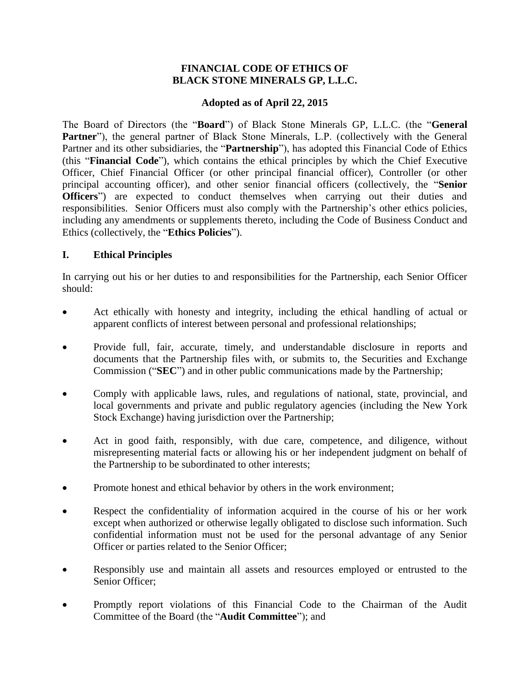### **FINANCIAL CODE OF ETHICS OF BLACK STONE MINERALS GP, L.L.C.**

## **Adopted as of April 22, 2015**

The Board of Directors (the "**Board**") of Black Stone Minerals GP, L.L.C. (the "**General**  Partner"), the general partner of Black Stone Minerals, L.P. (collectively with the General Partner and its other subsidiaries, the "**Partnership**"), has adopted this Financial Code of Ethics (this "**Financial Code**"), which contains the ethical principles by which the Chief Executive Officer, Chief Financial Officer (or other principal financial officer), Controller (or other principal accounting officer), and other senior financial officers (collectively, the "**Senior Officers**") are expected to conduct themselves when carrying out their duties and responsibilities. Senior Officers must also comply with the Partnership's other ethics policies, including any amendments or supplements thereto, including the Code of Business Conduct and Ethics (collectively, the "**Ethics Policies**").

## **I. Ethical Principles**

In carrying out his or her duties to and responsibilities for the Partnership, each Senior Officer should:

- Act ethically with honesty and integrity, including the ethical handling of actual or apparent conflicts of interest between personal and professional relationships;
- Provide full, fair, accurate, timely, and understandable disclosure in reports and documents that the Partnership files with, or submits to, the Securities and Exchange Commission ("**SEC**") and in other public communications made by the Partnership;
- Comply with applicable laws, rules, and regulations of national, state, provincial, and local governments and private and public regulatory agencies (including the New York Stock Exchange) having jurisdiction over the Partnership;
- Act in good faith, responsibly, with due care, competence, and diligence, without misrepresenting material facts or allowing his or her independent judgment on behalf of the Partnership to be subordinated to other interests;
- Promote honest and ethical behavior by others in the work environment;
- Respect the confidentiality of information acquired in the course of his or her work except when authorized or otherwise legally obligated to disclose such information. Such confidential information must not be used for the personal advantage of any Senior Officer or parties related to the Senior Officer;
- Responsibly use and maintain all assets and resources employed or entrusted to the Senior Officer;
- Promptly report violations of this Financial Code to the Chairman of the Audit Committee of the Board (the "**Audit Committee**"); and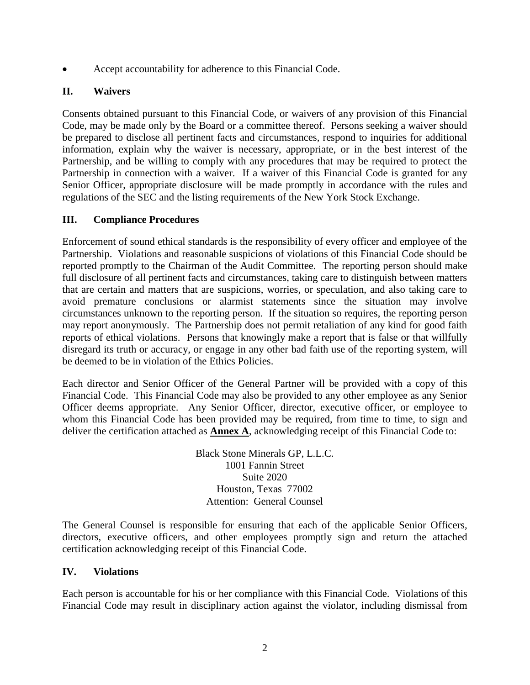Accept accountability for adherence to this Financial Code.

# **II. Waivers**

Consents obtained pursuant to this Financial Code, or waivers of any provision of this Financial Code, may be made only by the Board or a committee thereof. Persons seeking a waiver should be prepared to disclose all pertinent facts and circumstances, respond to inquiries for additional information, explain why the waiver is necessary, appropriate, or in the best interest of the Partnership, and be willing to comply with any procedures that may be required to protect the Partnership in connection with a waiver. If a waiver of this Financial Code is granted for any Senior Officer, appropriate disclosure will be made promptly in accordance with the rules and regulations of the SEC and the listing requirements of the New York Stock Exchange.

# **III. Compliance Procedures**

Enforcement of sound ethical standards is the responsibility of every officer and employee of the Partnership. Violations and reasonable suspicions of violations of this Financial Code should be reported promptly to the Chairman of the Audit Committee. The reporting person should make full disclosure of all pertinent facts and circumstances, taking care to distinguish between matters that are certain and matters that are suspicions, worries, or speculation, and also taking care to avoid premature conclusions or alarmist statements since the situation may involve circumstances unknown to the reporting person. If the situation so requires, the reporting person may report anonymously. The Partnership does not permit retaliation of any kind for good faith reports of ethical violations. Persons that knowingly make a report that is false or that willfully disregard its truth or accuracy, or engage in any other bad faith use of the reporting system, will be deemed to be in violation of the Ethics Policies.

Each director and Senior Officer of the General Partner will be provided with a copy of this Financial Code. This Financial Code may also be provided to any other employee as any Senior Officer deems appropriate. Any Senior Officer, director, executive officer, or employee to whom this Financial Code has been provided may be required, from time to time, to sign and deliver the certification attached as **Annex A**, acknowledging receipt of this Financial Code to:

> Black Stone Minerals GP, L.L.C. 1001 Fannin Street Suite 2020 Houston, Texas 77002 Attention: General Counsel

The General Counsel is responsible for ensuring that each of the applicable Senior Officers, directors, executive officers, and other employees promptly sign and return the attached certification acknowledging receipt of this Financial Code.

## **IV. Violations**

Each person is accountable for his or her compliance with this Financial Code. Violations of this Financial Code may result in disciplinary action against the violator, including dismissal from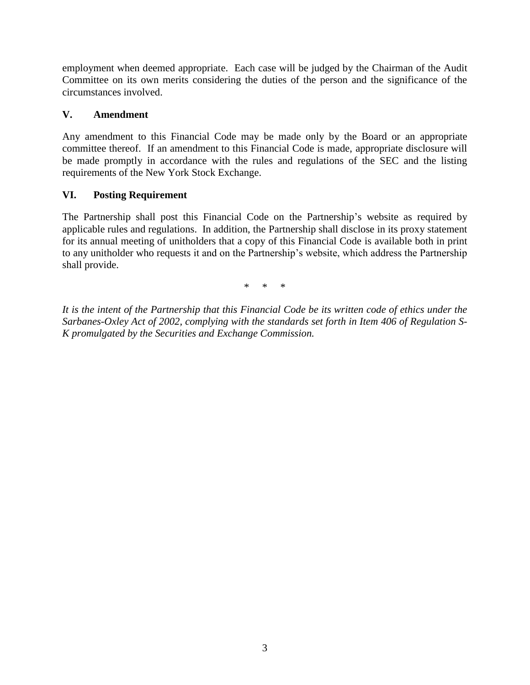employment when deemed appropriate. Each case will be judged by the Chairman of the Audit Committee on its own merits considering the duties of the person and the significance of the circumstances involved.

## **V. Amendment**

Any amendment to this Financial Code may be made only by the Board or an appropriate committee thereof. If an amendment to this Financial Code is made, appropriate disclosure will be made promptly in accordance with the rules and regulations of the SEC and the listing requirements of the New York Stock Exchange.

## **VI. Posting Requirement**

The Partnership shall post this Financial Code on the Partnership's website as required by applicable rules and regulations. In addition, the Partnership shall disclose in its proxy statement for its annual meeting of unitholders that a copy of this Financial Code is available both in print to any unitholder who requests it and on the Partnership's website, which address the Partnership shall provide.

\* \* \*

*It is the intent of the Partnership that this Financial Code be its written code of ethics under the Sarbanes-Oxley Act of 2002, complying with the standards set forth in Item 406 of Regulation S-K promulgated by the Securities and Exchange Commission.*